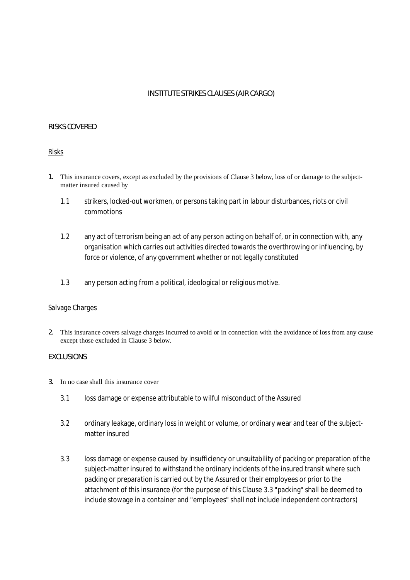# **INSTITUTE STRIKES CLAUSES (AIR CARGO)**

#### **RISKS COVERED**

#### Risks

- **1.** This insurance covers, except as excluded by the provisions of Clause 3 below, loss of or damage to the subjectmatter insured caused by
	- 1.1 strikers, locked-out workmen, or persons taking part in labour disturbances, riots or civil commotions
	- 1.2 any act of terrorism being an act of any person acting on behalf of, or in connection with, any organisation which carries out activities directed towards the overthrowing or influencing, by force or violence, of any government whether or not legally constituted
	- 1.3 any person acting from a political, ideological or religious motive.

#### Salvage Charges

**2.** This insurance covers salvage charges incurred to avoid or in connection with the avoidance of loss from any cause except those excluded in Clause 3 below.

#### **EXCLUSIONS**

#### **3.** In no case shall this insurance cover

- 3.1 loss damage or expense attributable to wilful misconduct of the Assured
- 3.2 ordinary leakage, ordinary loss in weight or volume, or ordinary wear and tear of the subjectmatter insured
- 3.3 loss damage or expense caused by insufficiency or unsuitability of packing or preparation of the subject-matter insured to withstand the ordinary incidents of the insured transit where such packing or preparation is carried out by the Assured or their employees or prior to the attachment of this insurance (for the purpose of this Clause 3.3 "packing" shall be deemed to include stowage in a container and "employees" shall not include independent contractors)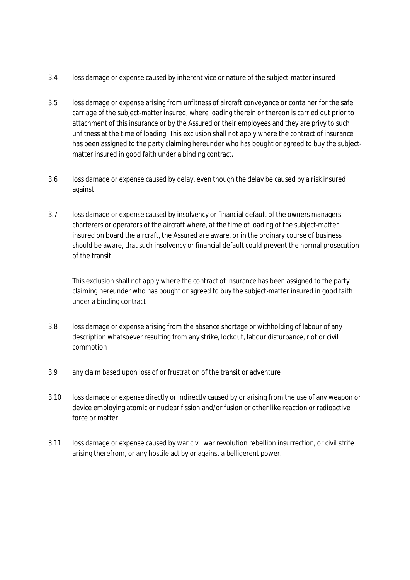- 3.4 loss damage or expense caused by inherent vice or nature of the subject-matter insured
- 3.5 loss damage or expense arising from unfitness of aircraft conveyance or container for the safe carriage of the subject-matter insured, where loading therein or thereon is carried out prior to attachment of this insurance or by the Assured or their employees and they are privy to such unfitness at the time of loading. This exclusion shall not apply where the contract of insurance has been assigned to the party claiming hereunder who has bought or agreed to buy the subjectmatter insured in good faith under a binding contract.
- 3.6 loss damage or expense caused by delay, even though the delay be caused by a risk insured against
- 3.7 loss damage or expense caused by insolvency or financial default of the owners managers charterers or operators of the aircraft where, at the time of loading of the subject-matter insured on board the aircraft, the Assured are aware, or in the ordinary course of business should be aware, that such insolvency or financial default could prevent the normal prosecution of the transit

This exclusion shall not apply where the contract of insurance has been assigned to the party claiming hereunder who has bought or agreed to buy the subject-matter insured in good faith under a binding contract

- 3.8 loss damage or expense arising from the absence shortage or withholding of labour of any description whatsoever resulting from any strike, lockout, labour disturbance, riot or civil commotion
- 3.9 any claim based upon loss of or frustration of the transit or adventure
- 3.10 loss damage or expense directly or indirectly caused by or arising from the use of any weapon or device employing atomic or nuclear fission and/or fusion or other like reaction or radioactive force or matter
- 3.11 loss damage or expense caused by war civil war revolution rebellion insurrection, or civil strife arising therefrom, or any hostile act by or against a belligerent power.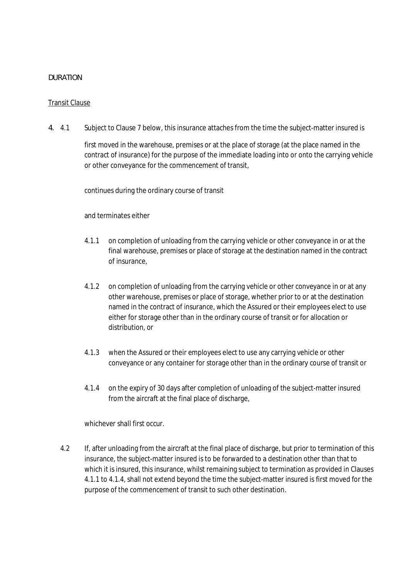# **DURATION**

### Transit Clause

**4.** 4.1 Subject to Clause 7 below, this insurance attaches from the time the subject-matter insured is

first moved in the warehouse, premises or at the place of storage (at the place named in the contract of insurance) for the purpose of the immediate loading into or onto the carrying vehicle or other conveyance for the commencement of transit,

continues during the ordinary course of transit

and terminates either

- 4.1.1 on completion of unloading from the carrying vehicle or other conveyance in or at the final warehouse, premises or place of storage at the destination named in the contract of insurance,
- 4.1.2 on completion of unloading from the carrying vehicle or other conveyance in or at any other warehouse, premises or place of storage, whether prior to or at the destination named in the contract of insurance, which the Assured or their employees elect to use either for storage other than in the ordinary course of transit or for allocation or distribution, or
- 4.1.3 when the Assured or their employees elect to use any carrying vehicle or other conveyance or any container for storage other than in the ordinary course of transit or
- 4.1.4 on the expiry of 30 days after completion of unloading of the subject-matter insured from the aircraft at the final place of discharge,

whichever shall first occur.

4.2 If, after unloading from the aircraft at the final place of discharge, but prior to termination of this insurance, the subject-matter insured is to be forwarded to a destination other than that to which it is insured, this insurance, whilst remaining subject to termination as provided in Clauses 4.1.1 to 4.1.4, shall not extend beyond the time the subject-matter insured is first moved for the purpose of the commencement of transit to such other destination.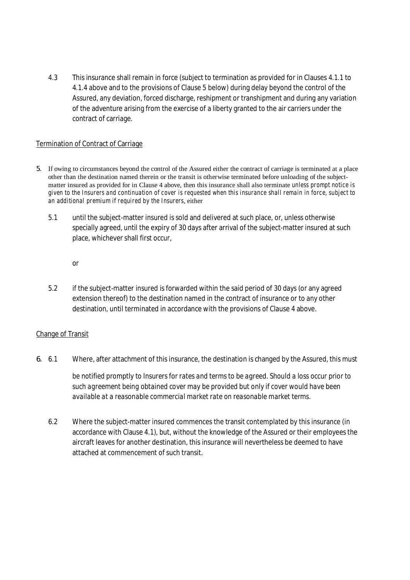4.3 This insurance shall remain in force (subject to termination as provided for in Clauses 4.1.1 to 4.1.4 above and to the provisions of Clause 5 below) during delay beyond the control of the Assured, any deviation, forced discharge, reshipment or transhipment and during any variation of the adventure arising from the exercise of a liberty granted to the air carriers under the contract of carriage.

### Termination of Contract of Carriage

- **5.** If owing to circumstances beyond the control of the Assured either the contract of carriage is terminated at a place other than the destination named therein or the transit is otherwise terminated before unloading of the subjectmatter insured as provided for in Clause 4 above, then this insurance shall also terminate *unless prompt notice is* given to the Insurers and continuation of cover is requested when this insurance shall remain in force, subject to *an additional premium if required by the Insurers*, either
	- 5.1 until the subject-matter insured is sold and delivered at such place, or, unless otherwise specially agreed, until the expiry of 30 days after arrival of the subject-matter insured at such place, whichever shall first occur,

or

5.2 if the subject-matter insured is forwarded within the said period of 30 days (or any agreed extension thereof) to the destination named in the contract of insurance or to any other destination, until terminated in accordance with the provisions of Clause 4 above.

# Change of Transit

**6.** 6.1 Where, after attachment of this insurance, the destination is changed by the Assured, *this must*

*be notified promptly to Insurers for rates and terms to be agreed. Should a loss occur prior to such agreement being obtained cover may be provided but only if cover would have been available at a reasonable commercial market rate on reasonable market terms.*

6.2 Where the subject-matter insured commences the transit contemplated by this insurance (in accordance with Clause 4.1), but, without the knowledge of the Assured or their employees the aircraft leaves for another destination, this insurance will nevertheless be deemed to have attached at commencement of such transit.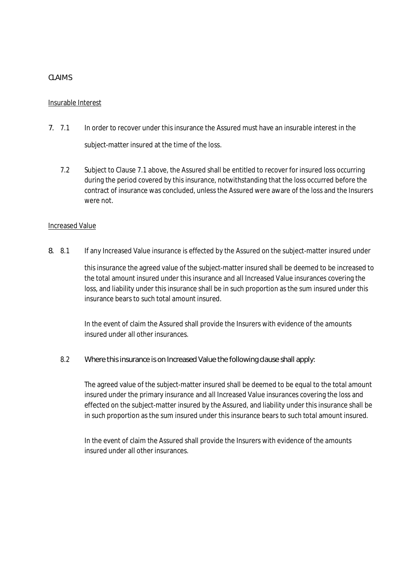# **CLAIMS**

### Insurable Interest

- **7.** 7.1 In order to recover under this insurance the Assured must have an insurable interest in the subject-matter insured at the time of the loss.
	- 7.2 Subject to Clause 7.1 above, the Assured shall be entitled to recover for insured loss occurring during the period covered by this insurance, notwithstanding that the loss occurred before the contract of insurance was concluded, unless the Assured were aware of the loss and the Insurers were not.

#### Increased Value

**8.** 8.1 If any Increased Value insurance is effected by the Assured on the subject-matter insured under

this insurance the agreed value of the subject-matter insured shall be deemed to be increased to the total amount insured under this insurance and all Increased Value insurances covering the loss, and liability under this insurance shall be in such proportion as the sum insured under this insurance bears to such total amount insured.

In the event of claim the Assured shall provide the Insurers with evidence of the amounts insured under all other insurances.

8.2 **Where this insurance is on Increased Value the following clause shall apply:**

The agreed value of the subject-matter insured shall be deemed to be equal to the total amount insured under the primary insurance and all Increased Value insurances covering the loss and effected on the subject-matter insured by the Assured, and liability under this insurance shall be in such proportion as the sum insured under this insurance bears to such total amount insured.

In the event of claim the Assured shall provide the Insurers with evidence of the amounts insured under all other insurances.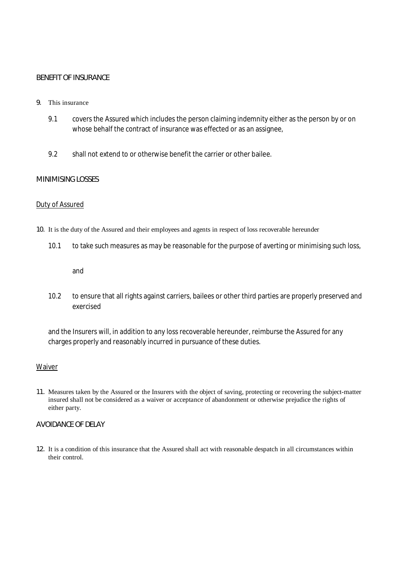### **BENEFIT OF INSURANCE**

#### **9.** This insurance

- 9.1 covers the Assured which includes the person claiming indemnity either as the person by or on whose behalf the contract of insurance was effected or as an assignee,
- 9.2 shall not extend to or otherwise benefit the carrier or other bailee.

#### **MINIMISING LOSSES**

#### Duty of Assured

#### **10.** It is the duty of the Assured and their employees and agents in respect of loss recoverable hereunder

10.1 to take such measures as may be reasonable for the purpose of averting or minimising such loss,

and

10.2 to ensure that all rights against carriers, bailees or other third parties are properly preserved and exercised

and the Insurers will, in addition to any loss recoverable hereunder, reimburse the Assured for any charges properly and reasonably incurred in pursuance of these duties.

#### Waiver

**11.** Measures taken by the Assured or the Insurers with the object of saving, protecting or recovering the subject-matter insured shall not be considered as a waiver or acceptance of abandonment or otherwise prejudice the rights of either party.

#### **AVOIDANCE OF DELAY**

**12.** It is a condition of this insurance that the Assured shall act with reasonable despatch in all circumstances within their control.